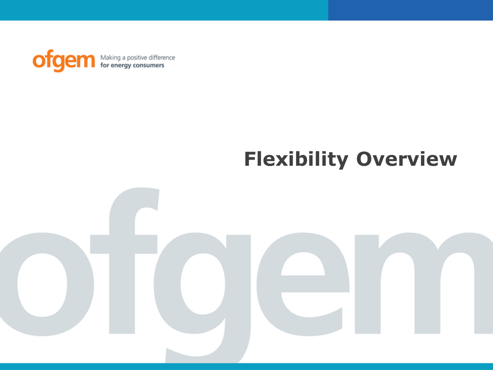

## **Flexibility Overview**

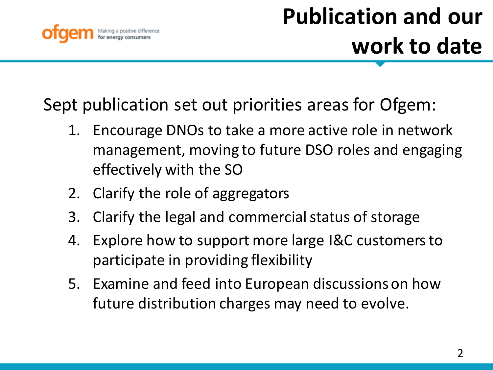

Sept publication set out priorities areas for Ofgem:

- 1. Encourage DNOs to take a more active role in network management, moving to future DSO roles and engaging effectively with the SO
- 2. Clarify the role of aggregators
- 3. Clarify the legal and commercial status of storage
- 4. Explore how to support more large I&C customers to participate in providing flexibility
- 5. Examine and feed into European discussions on how future distribution charges may need to evolve.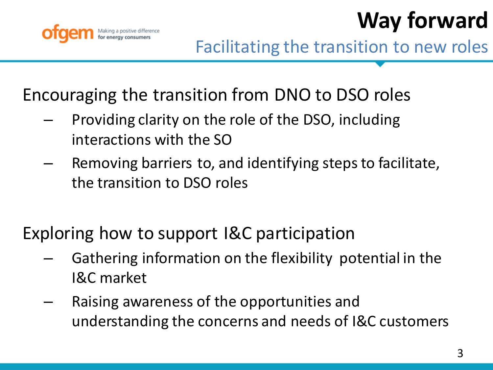



Encouraging the transition from DNO to DSO roles

- Providing clarity on the role of the DSO, including interactions with the SO
- Removing barriers to, and identifying steps to facilitate, the transition to DSO roles

Exploring how to support I&C participation

- Gathering information on the flexibility potential in the I&C market
- Raising awareness of the opportunities and understanding the concerns and needs of I&C customers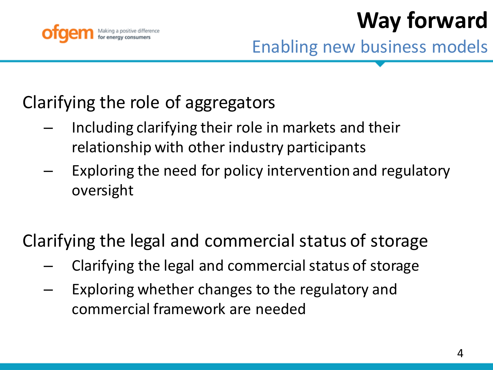

**Way forward**

Enabling new business models

## Clarifying the role of aggregators

- Including clarifying their role in markets and their relationship with other industry participants
- Exploring the need for policy intervention and regulatory oversight

## Clarifying the legal and commercial status of storage

- Clarifying the legal and commercial status of storage
- Exploring whether changes to the regulatory and commercial framework are needed